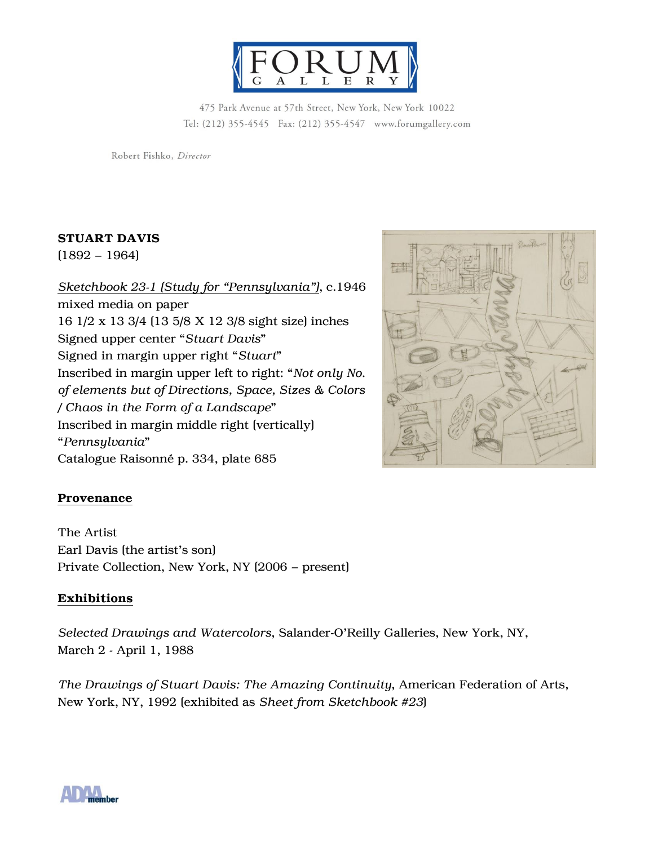

475 Park Avenue at 57th Street, New York, New York 10022 Tel: (212) 355-4545 Fax: (212) 355-4547 www.forumgallery.com

Robert Fishko, Director

### STUART DAVIS

(1892 – 1964)

*Sketchbook 23-1 (Study for "Pennsylvania")*, c.1946 mixed media on paper 16 1/2 x 13 3/4 (13 5/8 X 12 3/8 sight size) inches Signed upper center "*Stuart Davis*" Signed in margin upper right "*Stuart*" Inscribed in margin upper left to right: "*Not only No. of elements but of Directions, Space, Sizes & Colors / Chaos in the Form of a Landscape*" Inscribed in margin middle right (vertically) "*Pennsylvania*" Catalogue Raisonné p. 334, plate 685



# Provenance

The Artist Earl Davis (the artist's son) Private Collection, New York, NY (2006 – present)

# Exhibitions

*Selected Drawings and Watercolors*, Salander-O'Reilly Galleries, New York, NY, March 2 - April 1, 1988

*The Drawings of Stuart Davis: The Amazing Continuity*, American Federation of Arts, New York, NY, 1992 (exhibited as *Sheet from Sketchbook #23*)

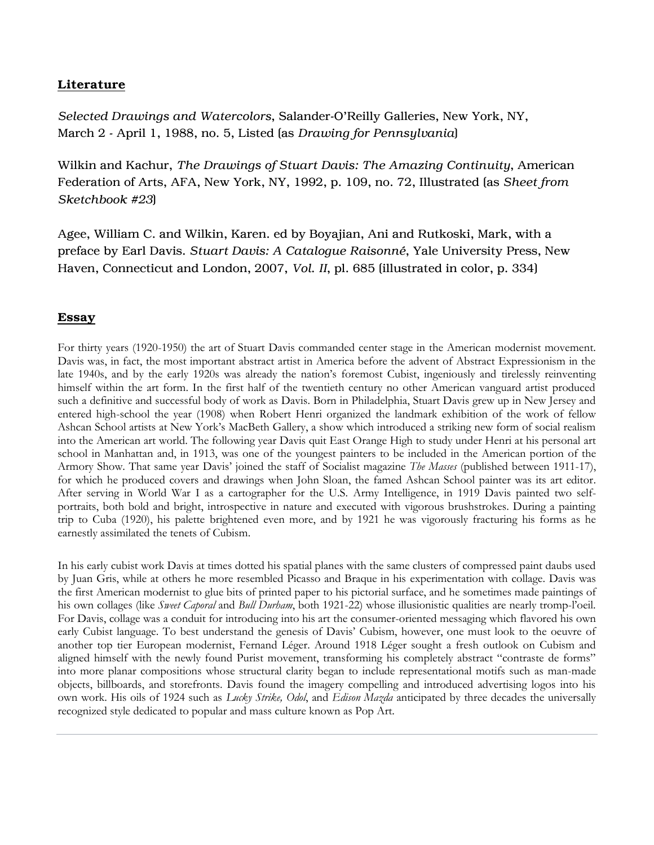# Literature

*Selected Drawings and Watercolors*, Salander-O'Reilly Galleries, New York, NY, March 2 - April 1, 1988, no. 5, Listed (as *Drawing for Pennsylvania*)

Wilkin and Kachur, *The Drawings of Stuart Davis: The Amazing Continuity*, American Federation of Arts, AFA, New York, NY, 1992, p. 109, no. 72, Illustrated (as *Sheet from Sketchbook #23*)

Agee, William C. and Wilkin, Karen. ed by Boyajian, Ani and Rutkoski, Mark, with a preface by Earl Davis. *Stuart Davis: A Catalogue Raisonné*, Yale University Press, New Haven, Connecticut and London, 2007, *Vol. II*, pl. 685 (illustrated in color, p. 334)

### Essay

For thirty years (1920-1950) the art of Stuart Davis commanded center stage in the American modernist movement. Davis was, in fact, the most important abstract artist in America before the advent of Abstract Expressionism in the late 1940s, and by the early 1920s was already the nation's foremost Cubist, ingeniously and tirelessly reinventing himself within the art form. In the first half of the twentieth century no other American vanguard artist produced such a definitive and successful body of work as Davis. Born in Philadelphia, Stuart Davis grew up in New Jersey and entered high-school the year (1908) when Robert Henri organized the landmark exhibition of the work of fellow Ashcan School artists at New York's MacBeth Gallery, a show which introduced a striking new form of social realism into the American art world. The following year Davis quit East Orange High to study under Henri at his personal art school in Manhattan and, in 1913, was one of the youngest painters to be included in the American portion of the Armory Show. That same year Davis' joined the staff of Socialist magazine *The Masses* (published between 1911-17), for which he produced covers and drawings when John Sloan, the famed Ashcan School painter was its art editor. After serving in World War I as a cartographer for the U.S. Army Intelligence, in 1919 Davis painted two selfportraits, both bold and bright, introspective in nature and executed with vigorous brushstrokes. During a painting trip to Cuba (1920), his palette brightened even more, and by 1921 he was vigorously fracturing his forms as he earnestly assimilated the tenets of Cubism.

In his early cubist work Davis at times dotted his spatial planes with the same clusters of compressed paint daubs used by Juan Gris, while at others he more resembled Picasso and Braque in his experimentation with collage. Davis was the first American modernist to glue bits of printed paper to his pictorial surface, and he sometimes made paintings of his own collages (like *Sweet Caporal* and *Bull Durham*, both 1921-22) whose illusionistic qualities are nearly tromp-l'oeil. For Davis, collage was a conduit for introducing into his art the consumer-oriented messaging which flavored his own early Cubist language. To best understand the genesis of Davis' Cubism, however, one must look to the oeuvre of another top tier European modernist, Fernand Léger. Around 1918 Léger sought a fresh outlook on Cubism and aligned himself with the newly found Purist movement, transforming his completely abstract "contraste de forms" into more planar compositions whose structural clarity began to include representational motifs such as man-made objects, billboards, and storefronts. Davis found the imagery compelling and introduced advertising logos into his own work. His oils of 1924 such as *Lucky Strike, Odol*, and *Edison Mazda* anticipated by three decades the universally recognized style dedicated to popular and mass culture known as Pop Art.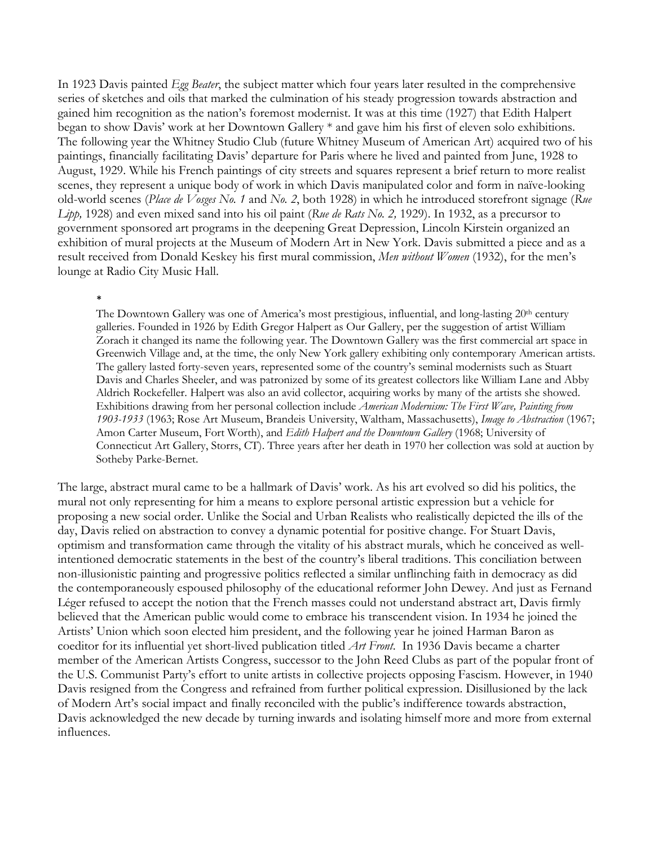In 1923 Davis painted *Egg Beater*, the subject matter which four years later resulted in the comprehensive series of sketches and oils that marked the culmination of his steady progression towards abstraction and gained him recognition as the nation's foremost modernist. It was at this time (1927) that Edith Halpert began to show Davis' work at her Downtown Gallery \* and gave him his first of eleven solo exhibitions. The following year the Whitney Studio Club (future Whitney Museum of American Art) acquired two of his paintings, financially facilitating Davis' departure for Paris where he lived and painted from June, 1928 to August, 1929. While his French paintings of city streets and squares represent a brief return to more realist scenes, they represent a unique body of work in which Davis manipulated color and form in naïve-looking old-world scenes (*Place de Vosges No. 1* and *No. 2*, both 1928) in which he introduced storefront signage (*Rue Lipp,* 1928) and even mixed sand into his oil paint (*Rue de Rats No. 2,* 1929). In 1932, as a precursor to government sponsored art programs in the deepening Great Depression, Lincoln Kirstein organized an exhibition of mural projects at the Museum of Modern Art in New York. Davis submitted a piece and as a result received from Donald Keskey his first mural commission, *Men without Women* (1932), for the men's lounge at Radio City Music Hall.

\*

The Downtown Gallery was one of America's most prestigious, influential, and long-lasting 20<sup>th</sup> century galleries. Founded in 1926 by Edith Gregor Halpert as Our Gallery, per the suggestion of artist William Zorach it changed its name the following year. The Downtown Gallery was the first commercial art space in Greenwich Village and, at the time, the only New York gallery exhibiting only contemporary American artists. The gallery lasted forty-seven years, represented some of the country's seminal modernists such as Stuart Davis and Charles Sheeler, and was patronized by some of its greatest collectors like William Lane and Abby Aldrich Rockefeller. Halpert was also an avid collector, acquiring works by many of the artists she showed. Exhibitions drawing from her personal collection include *American Modernism: The First Wave, Painting from 1903-1933* (1963; Rose Art Museum, Brandeis University, Waltham, Massachusetts), *Image to Abstraction* (1967; Amon Carter Museum, Fort Worth), and *Edith Halpert and the Downtown Gallery* (1968; University of Connecticut Art Gallery, Storrs, CT). Three years after her death in 1970 her collection was sold at auction by Sotheby Parke-Bernet.

The large, abstract mural came to be a hallmark of Davis' work. As his art evolved so did his politics, the mural not only representing for him a means to explore personal artistic expression but a vehicle for proposing a new social order. Unlike the Social and Urban Realists who realistically depicted the ills of the day, Davis relied on abstraction to convey a dynamic potential for positive change. For Stuart Davis, optimism and transformation came through the vitality of his abstract murals, which he conceived as wellintentioned democratic statements in the best of the country's liberal traditions. This conciliation between non-illusionistic painting and progressive politics reflected a similar unflinching faith in democracy as did the contemporaneously espoused philosophy of the educational reformer John Dewey. And just as Fernand Léger refused to accept the notion that the French masses could not understand abstract art, Davis firmly believed that the American public would come to embrace his transcendent vision. In 1934 he joined the Artists' Union which soon elected him president, and the following year he joined Harman Baron as coeditor for its influential yet short-lived publication titled *Art Front*. In 1936 Davis became a charter member of the American Artists Congress, successor to the John Reed Clubs as part of the popular front of the U.S. Communist Party's effort to unite artists in collective projects opposing Fascism. However, in 1940 Davis resigned from the Congress and refrained from further political expression. Disillusioned by the lack of Modern Art's social impact and finally reconciled with the public's indifference towards abstraction, Davis acknowledged the new decade by turning inwards and isolating himself more and more from external influences.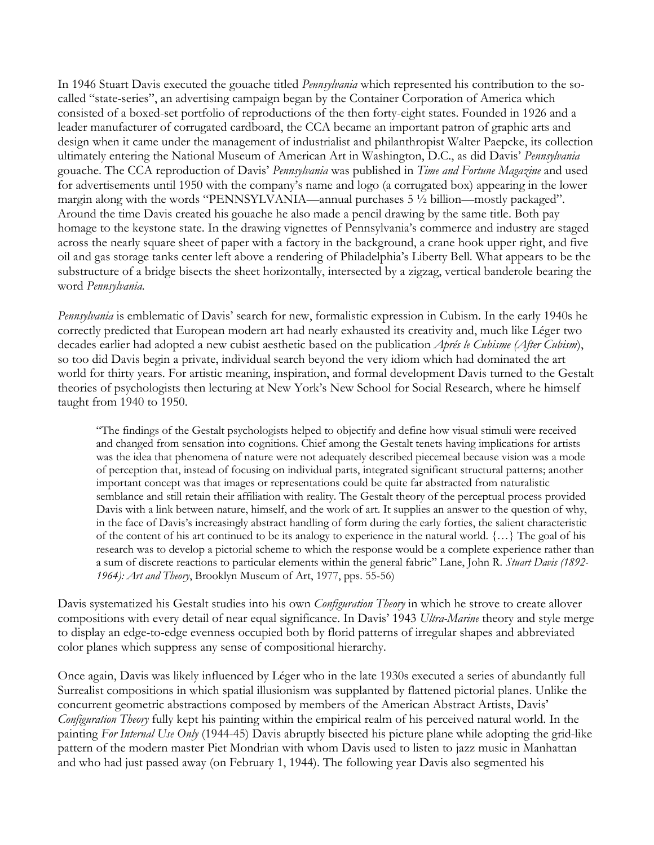In 1946 Stuart Davis executed the gouache titled *Pennsylvania* which represented his contribution to the socalled "state-series", an advertising campaign began by the Container Corporation of America which consisted of a boxed-set portfolio of reproductions of the then forty-eight states. Founded in 1926 and a leader manufacturer of corrugated cardboard, the CCA became an important patron of graphic arts and design when it came under the management of industrialist and philanthropist Walter Paepcke, its collection ultimately entering the National Museum of American Art in Washington, D.C., as did Davis' *Pennsylvania* gouache. The CCA reproduction of Davis' *Pennsylvania* was published in *Time and Fortune Magazine* and used for advertisements until 1950 with the company's name and logo (a corrugated box) appearing in the lower margin along with the words "PENNSYLVANIA—annual purchases 5 ½ billion—mostly packaged". Around the time Davis created his gouache he also made a pencil drawing by the same title. Both pay homage to the keystone state. In the drawing vignettes of Pennsylvania's commerce and industry are staged across the nearly square sheet of paper with a factory in the background, a crane hook upper right, and five oil and gas storage tanks center left above a rendering of Philadelphia's Liberty Bell. What appears to be the substructure of a bridge bisects the sheet horizontally, intersected by a zigzag, vertical banderole bearing the word *Pennsylvania.* 

*Pennsylvania* is emblematic of Davis' search for new, formalistic expression in Cubism. In the early 1940s he correctly predicted that European modern art had nearly exhausted its creativity and, much like Léger two decades earlier had adopted a new cubist aesthetic based on the publication *Aprés le Cubisme (After Cubism*), so too did Davis begin a private, individual search beyond the very idiom which had dominated the art world for thirty years. For artistic meaning, inspiration, and formal development Davis turned to the Gestalt theories of psychologists then lecturing at New York's New School for Social Research, where he himself taught from 1940 to 1950.

"The findings of the Gestalt psychologists helped to objectify and define how visual stimuli were received and changed from sensation into cognitions. Chief among the Gestalt tenets having implications for artists was the idea that phenomena of nature were not adequately described piecemeal because vision was a mode of perception that, instead of focusing on individual parts, integrated significant structural patterns; another important concept was that images or representations could be quite far abstracted from naturalistic semblance and still retain their affiliation with reality. The Gestalt theory of the perceptual process provided Davis with a link between nature, himself, and the work of art. It supplies an answer to the question of why, in the face of Davis's increasingly abstract handling of form during the early forties, the salient characteristic of the content of his art continued to be its analogy to experience in the natural world. {…} The goal of his research was to develop a pictorial scheme to which the response would be a complete experience rather than a sum of discrete reactions to particular elements within the general fabric" Lane, John R. *Stuart Davis (1892- 1964): Art and Theory*, Brooklyn Museum of Art, 1977, pps. 55-56)

Davis systematized his Gestalt studies into his own *Configuration Theory* in which he strove to create allover compositions with every detail of near equal significance. In Davis' 1943 *Ultra-Marine* theory and style merge to display an edge-to-edge evenness occupied both by florid patterns of irregular shapes and abbreviated color planes which suppress any sense of compositional hierarchy*.* 

Once again, Davis was likely influenced by Léger who in the late 1930s executed a series of abundantly full Surrealist compositions in which spatial illusionism was supplanted by flattened pictorial planes. Unlike the concurrent geometric abstractions composed by members of the American Abstract Artists, Davis' *Configuration Theory* fully kept his painting within the empirical realm of his perceived natural world. In the painting *For Internal Use Only* (1944-45) Davis abruptly bisected his picture plane while adopting the grid-like pattern of the modern master Piet Mondrian with whom Davis used to listen to jazz music in Manhattan and who had just passed away (on February 1, 1944). The following year Davis also segmented his